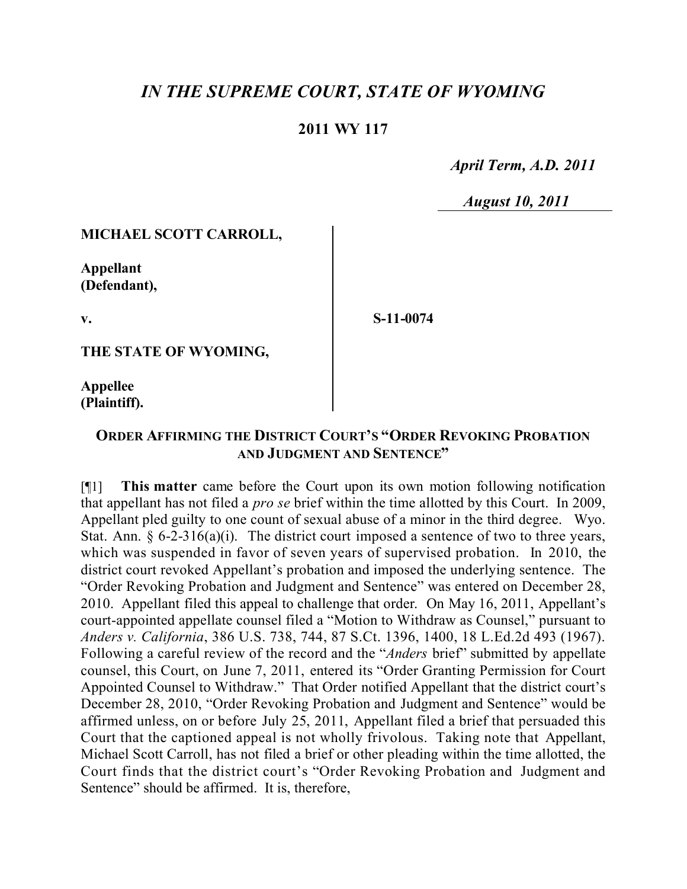# *IN THE SUPREME COURT, STATE OF WYOMING*

# **2011 WY 117**

 *April Term, A.D. 2011*

 *August 10, 2011*

#### **MICHAEL SCOTT CARROLL,**

**Appellant (Defendant),**

**v.**

**S-11-0074**

**THE STATE OF WYOMING,**

**Appellee (Plaintiff).**

## **ORDER AFFIRMING THE DISTRICT COURT'S "ORDER REVOKING PROBATION AND JUDGMENT AND SENTENCE"**

[¶1] **This matter** came before the Court upon its own motion following notification that appellant has not filed a *pro se* brief within the time allotted by this Court. In 2009, Appellant pled guilty to one count of sexual abuse of a minor in the third degree. Wyo. Stat. Ann.  $\S 6$ -2-316(a)(i). The district court imposed a sentence of two to three years, which was suspended in favor of seven years of supervised probation. In 2010, the district court revoked Appellant's probation and imposed the underlying sentence. The "Order Revoking Probation and Judgment and Sentence" was entered on December 28, 2010. Appellant filed this appeal to challenge that order. On May 16, 2011, Appellant's court-appointed appellate counsel filed a "Motion to Withdraw as Counsel," pursuant to *Anders v. California*, 386 U.S. 738, 744, 87 S.Ct. 1396, 1400, 18 L.Ed.2d 493 (1967). Following a careful review of the record and the "*Anders* brief" submitted by appellate counsel, this Court, on June 7, 2011, entered its "Order Granting Permission for Court Appointed Counsel to Withdraw." That Order notified Appellant that the district court's December 28, 2010, "Order Revoking Probation and Judgment and Sentence" would be affirmed unless, on or before July 25, 2011, Appellant filed a brief that persuaded this Court that the captioned appeal is not wholly frivolous. Taking note that Appellant, Michael Scott Carroll, has not filed a brief or other pleading within the time allotted, the Court finds that the district court's "Order Revoking Probation and Judgment and Sentence" should be affirmed. It is, therefore,